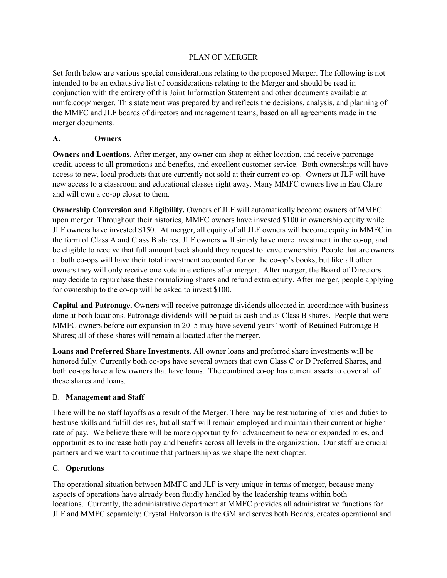### PLAN OF MERGER

Set forth below are various special considerations relating to the proposed Merger. The following is not intended to be an exhaustive list of considerations relating to the Merger and should be read in conjunction with the entirety of this Joint Information Statement and other documents available at mmfc.coop/merger. This statement was prepared by and reflects the decisions, analysis, and planning of the MMFC and JLF boards of directors and management teams, based on all agreements made in the merger documents.

### **A. Owners**

**Owners and Locations.** After merger, any owner can shop at either location, and receive patronage credit, access to all promotions and benefits, and excellent customer service. Both ownerships will have access to new, local products that are currently not sold at their current co-op. Owners at JLF will have new access to a classroom and educational classes right away. Many MMFC owners live in Eau Claire and will own a co-op closer to them.

**Ownership Conversion and Eligibility.** Owners of JLF will automatically become owners of MMFC upon merger. Throughout their histories, MMFC owners have invested \$100 in ownership equity while JLF owners have invested \$150. At merger, all equity of all JLF owners will become equity in MMFC in the form of Class A and Class B shares. JLF owners will simply have more investment in the co-op, and be eligible to receive that full amount back should they request to leave ownership. People that are owners at both co-ops will have their total investment accounted for on the co-op's books, but like all other owners they will only receive one vote in elections after merger. After merger, the Board of Directors may decide to repurchase these normalizing shares and refund extra equity. After merger, people applying for ownership to the co-op will be asked to invest \$100.

**Capital and Patronage.** Owners will receive patronage dividends allocated in accordance with business done at both locations. Patronage dividends will be paid as cash and as Class B shares. People that were MMFC owners before our expansion in 2015 may have several years' worth of Retained Patronage B Shares; all of these shares will remain allocated after the merger.

**Loans and Preferred Share Investments.** All owner loans and preferred share investments will be honored fully. Currently both co-ops have several owners that own Class C or D Preferred Shares, and both co-ops have a few owners that have loans. The combined co-op has current assets to cover all of these shares and loans.

# B. **Management and Staff**

There will be no staff layoffs as a result of the Merger. There may be restructuring of roles and duties to best use skills and fulfill desires, but all staff will remain employed and maintain their current or higher rate of pay. We believe there will be more opportunity for advancement to new or expanded roles, and opportunities to increase both pay and benefits across all levels in the organization. Our staff are crucial partners and we want to continue that partnership as we shape the next chapter.

#### C. **Operations**

The operational situation between MMFC and JLF is very unique in terms of merger, because many aspects of operations have already been fluidly handled by the leadership teams within both locations. Currently, the administrative department at MMFC provides all administrative functions for JLF and MMFC separately: Crystal Halvorson is the GM and serves both Boards, creates operational and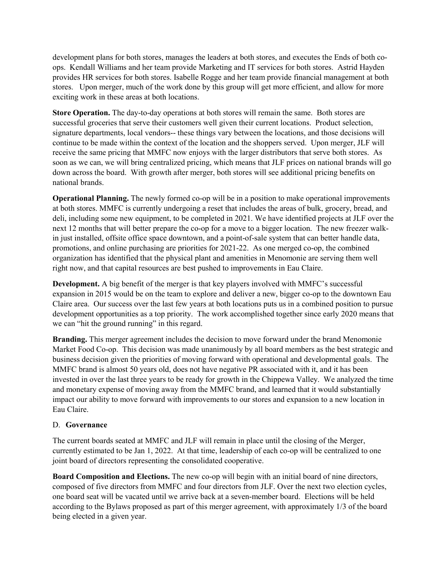development plans for both stores, manages the leaders at both stores, and executes the Ends of both coops. Kendall Williams and her team provide Marketing and IT services for both stores. Astrid Hayden provides HR services for both stores. Isabelle Rogge and her team provide financial management at both stores. Upon merger, much of the work done by this group will get more efficient, and allow for more exciting work in these areas at both locations.

**Store Operation.** The day-to-day operations at both stores will remain the same. Both stores are successful groceries that serve their customers well given their current locations. Product selection, signature departments, local vendors-- these things vary between the locations, and those decisions will continue to be made within the context of the location and the shoppers served. Upon merger, JLF will receive the same pricing that MMFC now enjoys with the larger distributors that serve both stores. As soon as we can, we will bring centralized pricing, which means that JLF prices on national brands will go down across the board. With growth after merger, both stores will see additional pricing benefits on national brands.

**Operational Planning.** The newly formed co-op will be in a position to make operational improvements at both stores. MMFC is currently undergoing a reset that includes the areas of bulk, grocery, bread, and deli, including some new equipment, to be completed in 2021. We have identified projects at JLF over the next 12 months that will better prepare the co-op for a move to a bigger location. The new freezer walkin just installed, offsite office space downtown, and a point-of-sale system that can better handle data, promotions, and online purchasing are priorities for 2021-22. As one merged co-op, the combined organization has identified that the physical plant and amenities in Menomonie are serving them well right now, and that capital resources are best pushed to improvements in Eau Claire.

**Development.** A big benefit of the merger is that key players involved with MMFC's successful expansion in 2015 would be on the team to explore and deliver a new, bigger co-op to the downtown Eau Claire area. Our success over the last few years at both locations puts us in a combined position to pursue development opportunities as a top priority. The work accomplished together since early 2020 means that we can "hit the ground running" in this regard.

**Branding.** This merger agreement includes the decision to move forward under the brand Menomonie Market Food Co-op. This decision was made unanimously by all board members as the best strategic and business decision given the priorities of moving forward with operational and developmental goals. The MMFC brand is almost 50 years old, does not have negative PR associated with it, and it has been invested in over the last three years to be ready for growth in the Chippewa Valley. We analyzed the time and monetary expense of moving away from the MMFC brand, and learned that it would substantially impact our ability to move forward with improvements to our stores and expansion to a new location in Eau Claire.

#### D. **Governance**

The current boards seated at MMFC and JLF will remain in place until the closing of the Merger, currently estimated to be Jan 1, 2022. At that time, leadership of each co-op will be centralized to one joint board of directors representing the consolidated cooperative.

**Board Composition and Elections.** The new co-op will begin with an initial board of nine directors, composed of five directors from MMFC and four directors from JLF. Over the next two election cycles, one board seat will be vacated until we arrive back at a seven-member board. Elections will be held according to the Bylaws proposed as part of this merger agreement, with approximately 1/3 of the board being elected in a given year.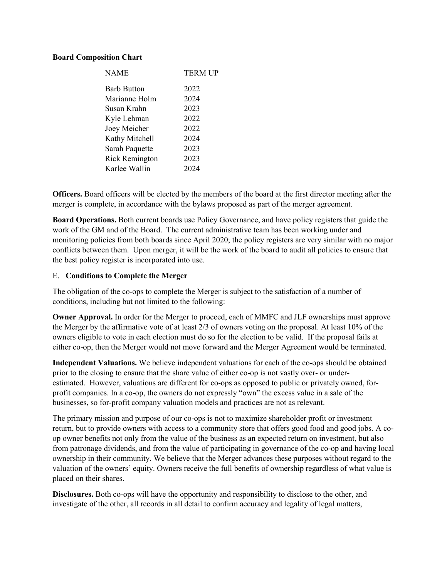#### **Board Composition Chart**

| <b>NAME</b>           | <b>TERM UP</b> |
|-----------------------|----------------|
| <b>Barb Button</b>    | 2022           |
| Marianne Holm         | 2024           |
| Susan Krahn           | 2023           |
| Kyle Lehman           | 2022           |
| Joey Meicher          | 2022           |
| Kathy Mitchell        | 2024           |
| Sarah Paquette        | 2023           |
| <b>Rick Remington</b> | 2023           |
| Karlee Wallin         | 2024           |
|                       |                |

**Officers.** Board officers will be elected by the members of the board at the first director meeting after the merger is complete, in accordance with the bylaws proposed as part of the merger agreement.

**Board Operations.** Both current boards use Policy Governance, and have policy registers that guide the work of the GM and of the Board. The current administrative team has been working under and monitoring policies from both boards since April 2020; the policy registers are very similar with no major conflicts between them. Upon merger, it will be the work of the board to audit all policies to ensure that the best policy register is incorporated into use.

#### E. **Conditions to Complete the Merger**

The obligation of the co-ops to complete the Merger is subject to the satisfaction of a number of conditions, including but not limited to the following:

**Owner Approval.** In order for the Merger to proceed, each of MMFC and JLF ownerships must approve the Merger by the affirmative vote of at least 2/3 of owners voting on the proposal. At least 10% of the owners eligible to vote in each election must do so for the election to be valid. If the proposal fails at either co-op, then the Merger would not move forward and the Merger Agreement would be terminated.

**Independent Valuations.** We believe independent valuations for each of the co-ops should be obtained prior to the closing to ensure that the share value of either co-op is not vastly over- or underestimated. However, valuations are different for co-ops as opposed to public or privately owned, forprofit companies. In a co-op, the owners do not expressly "own" the excess value in a sale of the businesses, so for-profit company valuation models and practices are not as relevant.

The primary mission and purpose of our co-ops is not to maximize shareholder profit or investment return, but to provide owners with access to a community store that offers good food and good jobs. A coop owner benefits not only from the value of the business as an expected return on investment, but also from patronage dividends, and from the value of participating in governance of the co-op and having local ownership in their community. We believe that the Merger advances these purposes without regard to the valuation of the owners' equity. Owners receive the full benefits of ownership regardless of what value is placed on their shares.

**Disclosures.** Both co-ops will have the opportunity and responsibility to disclose to the other, and investigate of the other, all records in all detail to confirm accuracy and legality of legal matters,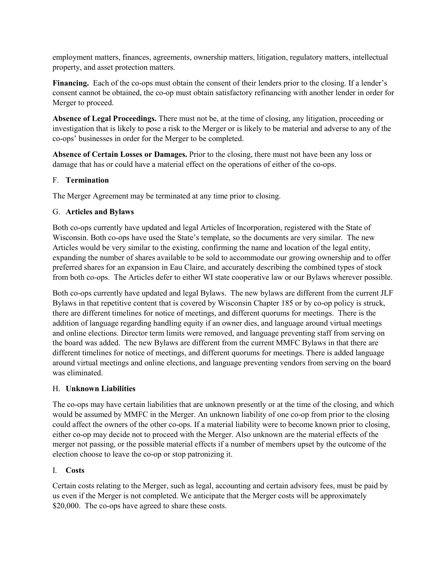employment matters, finances, agreements, ownership matters, litigation, regulatory matters, intellectual property, and asset protection matters.

**Financing.** Each of the co-ops must obtain the consent of their lenders prior to the closing. If a lender's consent cannot be obtained, the co-op must obtain satisfactory refinancing with another lender in order for Merger to proceed.

**Absence of Legal Proceedings.** There must not be, at the time of closing, any litigation, proceeding or investigation that is likely to pose a risk to the Merger or is likely to be material and adverse to any of the co-ops' businesses in order for the Merger to be completed.

**Absence of Certain Losses or Damages.** Prior to the closing, there must not have been any loss or damage that has or could have a material effect on the operations of either of the co-ops.

# F. **Termination**

The Merger Agreement may be terminated at any time prior to closing.

# G. **Articles and Bylaws**

Both co-ops currently have updated and legal Articles of Incorporation, registered with the State of Wisconsin. Both co-ops have used the State's template, so the documents are very similar. The new Articles would be very similar to the existing, confirming the name and location of the legal entity, expanding the number of shares available to be sold to accommodate our growing ownership and to offer preferred shares for an expansion in Eau Claire, and accurately describing the combined types of stock from both co-ops. The Articles defer to either WI state cooperative law or our Bylaws wherever possible.

Both co-ops currently have updated and legal Bylaws. The new bylaws are different from the current JLF Bylaws in that repetitive content that is covered by Wisconsin Chapter 185 or by co-op policy is struck, there are different timelines for notice of meetings, and different quorums for meetings. There is the addition of language regarding handling equity if an owner dies, and language around virtual meetings and online elections. Director term limits were removed, and language preventing staff from serving on the board was added. The new Bylaws are different from the current MMFC Bylaws in that there are different timelines for notice of meetings, and different quorums for meetings. There is added language around virtual meetings and online elections, and language preventing vendors from serving on the board was eliminated.

# H. **Unknown Liabilities**

The co-ops may have certain liabilities that are unknown presently or at the time of the closing, and which would be assumed by MMFC in the Merger. An unknown liability of one co-op from prior to the closing could affect the owners of the other co-ops. If a material liability were to become known prior to closing, either co-op may decide not to proceed with the Merger. Also unknown are the material effects of the merger not passing, or the possible material effects if a number of members upset by the outcome of the election choose to leave the co-op or stop patronizing it.

# I. **Costs**

Certain costs relating to the Merger, such as legal, accounting and certain advisory fees, must be paid by us even if the Merger is not completed. We anticipate that the Merger costs will be approximately \$20,000. The co-ops have agreed to share these costs.